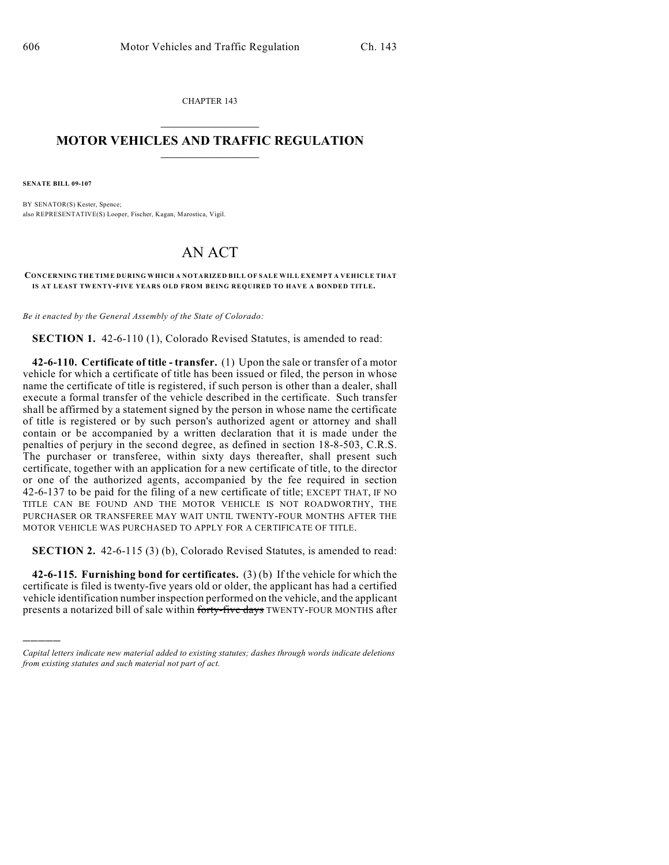CHAPTER 143  $\mathcal{L}_\text{max}$  . The set of the set of the set of the set of the set of the set of the set of the set of the set of the set of the set of the set of the set of the set of the set of the set of the set of the set of the set

## **MOTOR VEHICLES AND TRAFFIC REGULATION**  $\frac{1}{2}$  ,  $\frac{1}{2}$  ,  $\frac{1}{2}$  ,  $\frac{1}{2}$  ,  $\frac{1}{2}$  ,  $\frac{1}{2}$  ,  $\frac{1}{2}$  ,  $\frac{1}{2}$

**SENATE BILL 09-107**

)))))

BY SENATOR(S) Kester, Spence; also REPRESENTATIVE(S) Looper, Fischer, Kagan, Marostica, Vigil.

## AN ACT

**CONCERNING THE TIME DURING WHICH A NOTARIZED BILL OF SALE WILL EXEMPT A VEHICLE THAT IS AT LEAST TWENTY-FIVE YEARS OLD FROM BEING REQUIRED TO HAVE A BONDED TITLE.**

*Be it enacted by the General Assembly of the State of Colorado:*

**SECTION 1.** 42-6-110 (1), Colorado Revised Statutes, is amended to read:

**42-6-110. Certificate of title - transfer.** (1) Upon the sale or transfer of a motor vehicle for which a certificate of title has been issued or filed, the person in whose name the certificate of title is registered, if such person is other than a dealer, shall execute a formal transfer of the vehicle described in the certificate. Such transfer shall be affirmed by a statement signed by the person in whose name the certificate of title is registered or by such person's authorized agent or attorney and shall contain or be accompanied by a written declaration that it is made under the penalties of perjury in the second degree, as defined in section 18-8-503, C.R.S. The purchaser or transferee, within sixty days thereafter, shall present such certificate, together with an application for a new certificate of title, to the director or one of the authorized agents, accompanied by the fee required in section 42-6-137 to be paid for the filing of a new certificate of title; EXCEPT THAT, IF NO TITLE CAN BE FOUND AND THE MOTOR VEHICLE IS NOT ROADWORTHY, THE PURCHASER OR TRANSFEREE MAY WAIT UNTIL TWENTY-FOUR MONTHS AFTER THE MOTOR VEHICLE WAS PURCHASED TO APPLY FOR A CERTIFICATE OF TITLE.

**SECTION 2.** 42-6-115 (3) (b), Colorado Revised Statutes, is amended to read:

**42-6-115. Furnishing bond for certificates.** (3) (b) If the vehicle for which the certificate is filed is twenty-five years old or older, the applicant has had a certified vehicle identification number inspection performed on the vehicle, and the applicant presents a notarized bill of sale within forty-five days TWENTY-FOUR MONTHS after

*Capital letters indicate new material added to existing statutes; dashes through words indicate deletions from existing statutes and such material not part of act.*